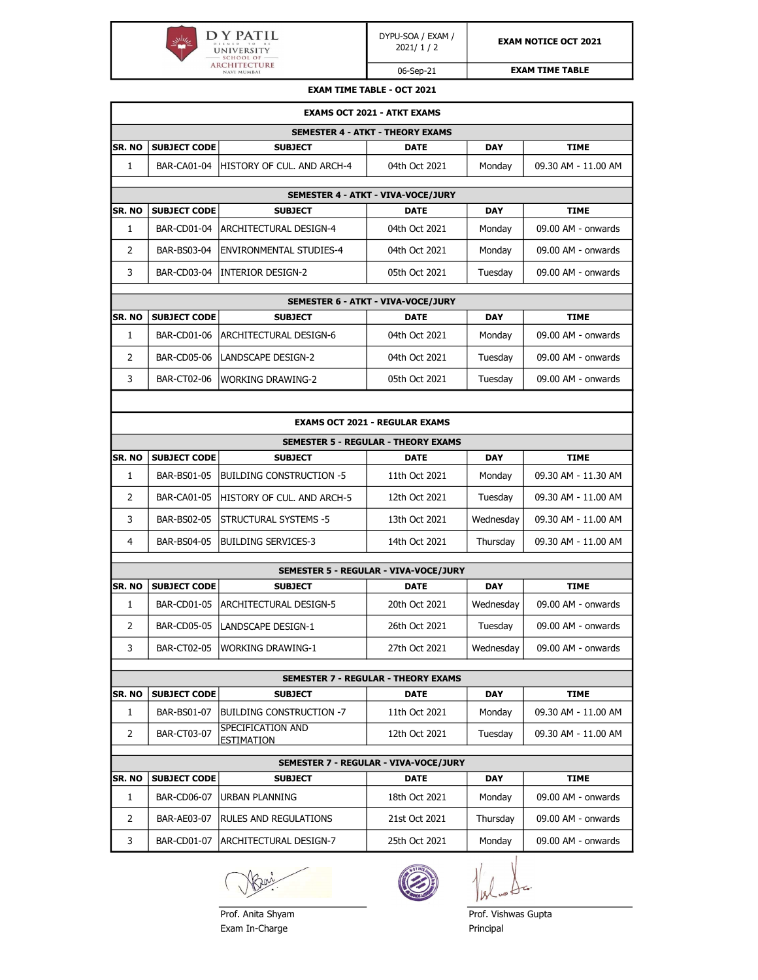

06-Sep-21

EXAM TIME TABLE

| <b>EXAM TIME TABLE - OCT 2021</b> |  |  |  |
|-----------------------------------|--|--|--|
|                                   |  |  |  |

|                                         | <b>EXAMS OCT 2021 - ATKT EXAMS</b>    |                                        |                                            |            |                     |  |  |  |
|-----------------------------------------|---------------------------------------|----------------------------------------|--------------------------------------------|------------|---------------------|--|--|--|
| <b>SEMESTER 4 - ATKT - THEORY EXAMS</b> |                                       |                                        |                                            |            |                     |  |  |  |
| SR. NO                                  | <b>SUBJECT CODE</b>                   | <b>SUBJECT</b>                         | <b>DATE</b>                                | <b>DAY</b> | <b>TIME</b>         |  |  |  |
| 1                                       | <b>BAR-CA01-04</b>                    | HISTORY OF CUL. AND ARCH-4             | 04th Oct 2021                              | Monday     | 09.30 AM - 11.00 AM |  |  |  |
|                                         |                                       |                                        | SEMESTER 4 - ATKT - VIVA-VOCE/JURY         |            |                     |  |  |  |
| SR. NO                                  | <b>SUBJECT CODE</b>                   | <b>SUBJECT</b>                         | <b>DATE</b>                                | <b>DAY</b> | <b>TIME</b>         |  |  |  |
| $\mathbf{1}$                            | <b>BAR-CD01-04</b>                    | <b>ARCHITECTURAL DESIGN-4</b>          | 04th Oct 2021                              | Monday     | 09.00 AM - onwards  |  |  |  |
| 2                                       | BAR-BS03-04                           | <b>ENVIRONMENTAL STUDIES-4</b>         | 04th Oct 2021                              | Monday     | 09.00 AM - onwards  |  |  |  |
| 3                                       | <b>BAR-CD03-04</b>                    | INTERIOR DESIGN-2                      | 05th Oct 2021                              | Tuesday    | 09.00 AM - onwards  |  |  |  |
|                                         |                                       |                                        | SEMESTER 6 - ATKT - VIVA-VOCE/JURY         |            |                     |  |  |  |
| SR. NO                                  | <b>SUBJECT CODE</b>                   | <b>SUBJECT</b>                         | <b>DATE</b>                                | <b>DAY</b> | <b>TIME</b>         |  |  |  |
| 1                                       | BAR-CD01-06                           | ARCHITECTURAL DESIGN-6                 | 04th Oct 2021                              | Monday     | 09.00 AM - onwards  |  |  |  |
| 2                                       | <b>BAR-CD05-06</b>                    | <b>LANDSCAPE DESIGN-2</b>              | 04th Oct 2021                              | Tuesday    | 09.00 AM - onwards  |  |  |  |
| 3                                       | BAR-CT02-06                           | <b>WORKING DRAWING-2</b>               | 05th Oct 2021                              | Tuesday    | 09.00 AM - onwards  |  |  |  |
|                                         |                                       |                                        |                                            |            |                     |  |  |  |
|                                         |                                       |                                        | <b>EXAMS OCT 2021 - REGULAR EXAMS</b>      |            |                     |  |  |  |
|                                         |                                       |                                        | <b>SEMESTER 5 - REGULAR - THEORY EXAMS</b> |            |                     |  |  |  |
| SR. NO                                  | <b>SUBJECT CODE</b>                   | <b>SUBJECT</b>                         | <b>DATE</b>                                | <b>DAY</b> | <b>TIME</b>         |  |  |  |
| $\mathbf{1}$                            | <b>BAR-BS01-05</b>                    | <b>BUILDING CONSTRUCTION -5</b>        | 11th Oct 2021                              | Monday     | 09.30 AM - 11.30 AM |  |  |  |
| 2                                       | <b>BAR-CA01-05</b>                    | HISTORY OF CUL. AND ARCH-5             | 12th Oct 2021                              | Tuesday    | 09.30 AM - 11.00 AM |  |  |  |
| 3                                       | <b>BAR-BS02-05</b>                    | <b>STRUCTURAL SYSTEMS -5</b>           | 13th Oct 2021                              | Wednesday  | 09.30 AM - 11.00 AM |  |  |  |
| 4                                       | <b>BAR-BS04-05</b>                    | <b>BUILDING SERVICES-3</b>             | 14th Oct 2021                              | Thursday   | 09.30 AM - 11.00 AM |  |  |  |
|                                         |                                       |                                        | SEMESTER 5 - REGULAR - VIVA-VOCE/JURY      |            |                     |  |  |  |
| SR. NO                                  | <b>SUBJECT CODE</b>                   | <b>SUBJECT</b>                         | <b>DATE</b>                                | <b>DAY</b> | <b>TIME</b>         |  |  |  |
| 1                                       | <b>BAR-CD01-05</b>                    | ARCHITECTURAL DESIGN-5                 | 20th Oct 2021                              | Wednesday  | 09.00 AM - onwards  |  |  |  |
| 2                                       | <b>BAR-CD05-05</b>                    | LANDSCAPE DESIGN-1                     | 26th Oct 2021                              | Tuesday    | 09.00 AM - onwards  |  |  |  |
| 3                                       | <b>BAR-CT02-05</b>                    | <b>WORKING DRAWING-1</b>               | 27th Oct 2021                              | Wednesday  | 09.00 AM - onwards  |  |  |  |
|                                         |                                       |                                        | <b>SEMESTER 7 - REGULAR - THEORY EXAMS</b> |            |                     |  |  |  |
| SR. NO                                  | <b>SUBJECT CODE</b>                   | <b>SUBJECT</b>                         | <b>DATE</b>                                | <b>DAY</b> | <b>TIME</b>         |  |  |  |
| 1                                       | BAR-BS01-07                           | Building construction -7               | 11th Oct 2021                              | Monday     | 09.30 AM - 11.00 AM |  |  |  |
| 2                                       | <b>BAR-CT03-07</b>                    | SPECIFICATION AND<br><b>ESTIMATION</b> | 12th Oct 2021                              | Tuesday    | 09.30 AM - 11.00 AM |  |  |  |
|                                         |                                       |                                        |                                            |            |                     |  |  |  |
| SR. NO                                  | SEMESTER 7 - REGULAR - VIVA-VOCE/JURY |                                        |                                            |            |                     |  |  |  |
|                                         | <b>SUBJECT CODE</b>                   | <b>SUBJECT</b>                         | DATE                                       | <b>DAY</b> | TIME                |  |  |  |
| 1                                       | <b>BAR-CD06-07</b>                    | <b>URBAN PLANNING</b>                  | 18th Oct 2021                              | Monday     | 09.00 AM - onwards  |  |  |  |
| 2                                       | BAR-AE03-07                           | RULES AND REGULATIONS                  | 21st Oct 2021                              | Thursday   | 09.00 AM - onwards  |  |  |  |
| 3                                       | <b>BAR-CD01-07</b>                    | ARCHITECTURAL DESIGN-7                 | 25th Oct 2021                              | Monday     | 09.00 AM - onwards  |  |  |  |

Beri



 $|1\rangle$ 

Prof. Anita Shyam **Prof. Vishwas Gupta** Exam In-Charge **Principal**